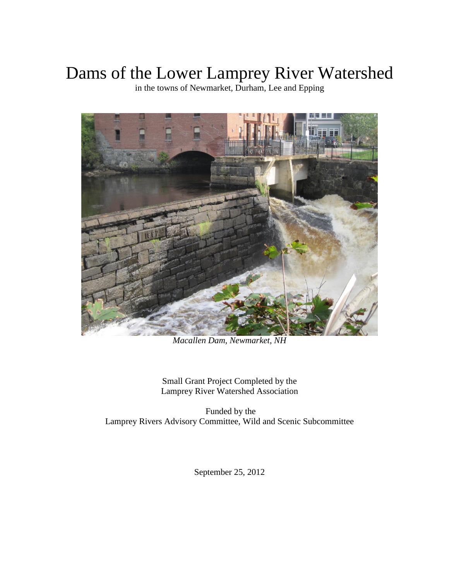# Dams of the Lower Lamprey River Watershed

in the towns of Newmarket, Durham, Lee and Epping



*Macallen Dam, Newmarket, NH*

Small Grant Project Completed by the Lamprey River Watershed Association

Funded by the Lamprey Rivers Advisory Committee, Wild and Scenic Subcommittee

September 25, 2012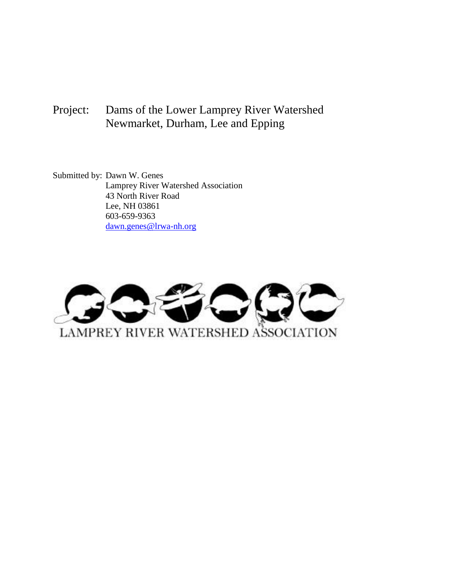## Project: Dams of the Lower Lamprey River Watershed Newmarket, Durham, Lee and Epping

Submitted by: Dawn W. Genes Lamprey River Watershed Association 43 North River Road Lee, NH 03861 603-659-9363 [dawn.genes@lrwa-nh.org](mailto:dawn.genes@lrwa-nh.org)

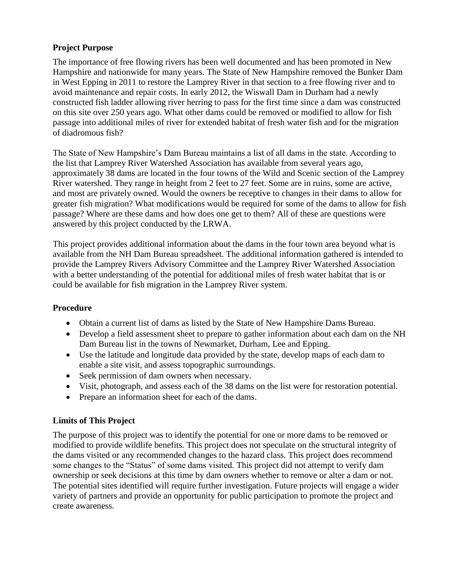#### **Project Purpose**

The importance of free flowing rivers has been well documented and has been promoted in New Hampshire and nationwide for many years. The State of New Hampshire removed the Bunker Dam in West Epping in 2011 to restore the Lamprey River in that section to a free flowing river and to avoid maintenance and repair costs. In early 2012, the Wiswall Dam in Durham had a newly constructed fish ladder allowing river herring to pass for the first time since a dam was constructed on this site over 250 years ago. What other dams could be removed or modified to allow for fish passage into additional miles of river for extended habitat of fresh water fish and for the migration of diadromous fish?

The State of New Hampshire's Dam Bureau maintains a list of all dams in the state. According to the list that Lamprey River Watershed Association has available from several years ago, approximately 38 dams are located in the four towns of the Wild and Scenic section of the Lamprey River watershed. They range in height from 2 feet to 27 feet. Some are in ruins, some are active, and most are privately owned. Would the owners be receptive to changes in their dams to allow for greater fish migration? What modifications would be required for some of the dams to allow for fish passage? Where are these dams and how does one get to them? All of these are questions were answered by this project conducted by the LRWA.

This project provides additional information about the dams in the four town area beyond what is available from the NH Dam Bureau spreadsheet. The additional information gathered is intended to provide the Lamprey Rivers Advisory Committee and the Lamprey River Watershed Association with a better understanding of the potential for additional miles of fresh water habitat that is or could be available for fish migration in the Lamprey River system.

### **Procedure**

- Obtain a current list of dams as listed by the State of New Hampshire Dams Bureau.
- Develop a field assessment sheet to prepare to gather information about each dam on the NH Dam Bureau list in the towns of Newmarket, Durham, Lee and Epping.
- Use the latitude and longitude data provided by the state, develop maps of each dam to enable a site visit, and assess topographic surroundings.
- Seek permission of dam owners when necessary.
- Visit, photograph, and assess each of the 38 dams on the list were for restoration potential.
- Prepare an information sheet for each of the dams.

#### **Limits of This Project**

The purpose of this project was to identify the potential for one or more dams to be removed or modified to provide wildlife benefits. This project does not speculate on the structural integrity of the dams visited or any recommended changes to the hazard class. This project does recommend some changes to the "Status" of some dams visited. This project did not attempt to verify dam ownership or seek decisions at this time by dam owners whether to remove or alter a dam or not. The potential sites identified will require further investigation. Future projects will engage a wider variety of partners and provide an opportunity for public participation to promote the project and create awareness.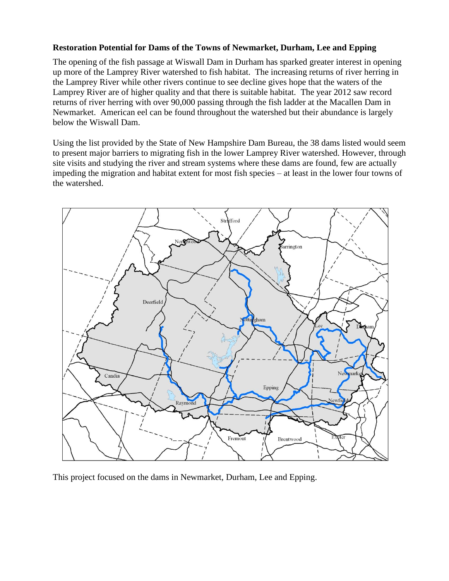#### **Restoration Potential for Dams of the Towns of Newmarket, Durham, Lee and Epping**

The opening of the fish passage at Wiswall Dam in Durham has sparked greater interest in opening up more of the Lamprey River watershed to fish habitat. The increasing returns of river herring in the Lamprey River while other rivers continue to see decline gives hope that the waters of the Lamprey River are of higher quality and that there is suitable habitat. The year 2012 saw record returns of river herring with over 90,000 passing through the fish ladder at the Macallen Dam in Newmarket. American eel can be found throughout the watershed but their abundance is largely below the Wiswall Dam.

Using the list provided by the State of New Hampshire Dam Bureau, the 38 dams listed would seem to present major barriers to migrating fish in the lower Lamprey River watershed. However, through site visits and studying the river and stream systems where these dams are found, few are actually impeding the migration and habitat extent for most fish species – at least in the lower four towns of the watershed.



This project focused on the dams in Newmarket, Durham, Lee and Epping.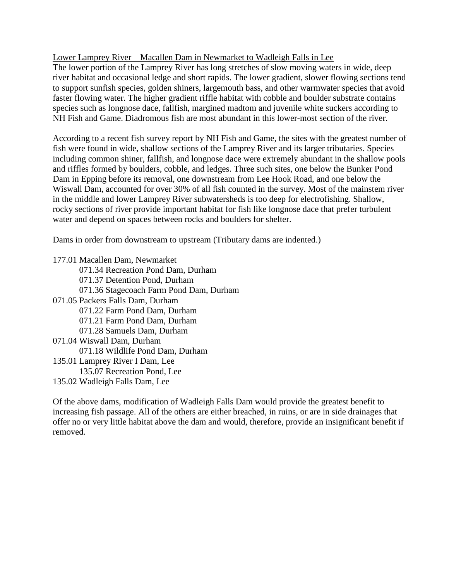Lower Lamprey River – Macallen Dam in Newmarket to Wadleigh Falls in Lee

The lower portion of the Lamprey River has long stretches of slow moving waters in wide, deep river habitat and occasional ledge and short rapids. The lower gradient, slower flowing sections tend to support sunfish species, golden shiners, largemouth bass, and other warmwater species that avoid faster flowing water. The higher gradient riffle habitat with cobble and boulder substrate contains species such as longnose dace, fallfish, margined madtom and juvenile white suckers according to NH Fish and Game. Diadromous fish are most abundant in this lower-most section of the river.

According to a recent fish survey report by NH Fish and Game, the sites with the greatest number of fish were found in wide, shallow sections of the Lamprey River and its larger tributaries. Species including common shiner, fallfish, and longnose dace were extremely abundant in the shallow pools and riffles formed by boulders, cobble, and ledges. Three such sites, one below the Bunker Pond Dam in Epping before its removal, one downstream from Lee Hook Road, and one below the Wiswall Dam, accounted for over 30% of all fish counted in the survey. Most of the mainstem river in the middle and lower Lamprey River subwatersheds is too deep for electrofishing. Shallow, rocky sections of river provide important habitat for fish like longnose dace that prefer turbulent water and depend on spaces between rocks and boulders for shelter.

Dams in order from downstream to upstream (Tributary dams are indented.)

177.01 Macallen Dam, Newmarket 071.34 Recreation Pond Dam, Durham 071.37 Detention Pond, Durham 071.36 Stagecoach Farm Pond Dam, Durham 071.05 Packers Falls Dam, Durham 071.22 Farm Pond Dam, Durham 071.21 Farm Pond Dam, Durham 071.28 Samuels Dam, Durham 071.04 Wiswall Dam, Durham 071.18 Wildlife Pond Dam, Durham 135.01 Lamprey River I Dam, Lee 135.07 Recreation Pond, Lee 135.02 Wadleigh Falls Dam, Lee

Of the above dams, modification of Wadleigh Falls Dam would provide the greatest benefit to increasing fish passage. All of the others are either breached, in ruins, or are in side drainages that offer no or very little habitat above the dam and would, therefore, provide an insignificant benefit if removed.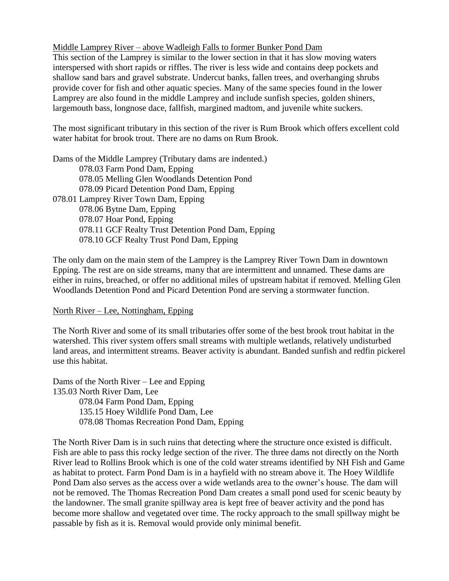Middle Lamprey River – above Wadleigh Falls to former Bunker Pond Dam

This section of the Lamprey is similar to the lower section in that it has slow moving waters interspersed with short rapids or riffles. The river is less wide and contains deep pockets and shallow sand bars and gravel substrate. Undercut banks, fallen trees, and overhanging shrubs provide cover for fish and other aquatic species. Many of the same species found in the lower Lamprey are also found in the middle Lamprey and include sunfish species, golden shiners, largemouth bass, longnose dace, fallfish, margined madtom, and juvenile white suckers.

The most significant tributary in this section of the river is Rum Brook which offers excellent cold water habitat for brook trout. There are no dams on Rum Brook.

Dams of the Middle Lamprey (Tributary dams are indented.) 078.03 Farm Pond Dam, Epping 078.05 Melling Glen Woodlands Detention Pond 078.09 Picard Detention Pond Dam, Epping 078.01 Lamprey River Town Dam, Epping 078.06 Bytne Dam, Epping 078.07 Hoar Pond, Epping 078.11 GCF Realty Trust Detention Pond Dam, Epping 078.10 GCF Realty Trust Pond Dam, Epping

The only dam on the main stem of the Lamprey is the Lamprey River Town Dam in downtown Epping. The rest are on side streams, many that are intermittent and unnamed. These dams are either in ruins, breached, or offer no additional miles of upstream habitat if removed. Melling Glen Woodlands Detention Pond and Picard Detention Pond are serving a stormwater function.

#### North River – Lee, Nottingham, Epping

The North River and some of its small tributaries offer some of the best brook trout habitat in the watershed. This river system offers small streams with multiple wetlands, relatively undisturbed land areas, and intermittent streams. Beaver activity is abundant. Banded sunfish and redfin pickerel use this habitat.

Dams of the North River – Lee and Epping 135.03 North River Dam, Lee 078.04 Farm Pond Dam, Epping 135.15 Hoey Wildlife Pond Dam, Lee 078.08 Thomas Recreation Pond Dam, Epping

The North River Dam is in such ruins that detecting where the structure once existed is difficult. Fish are able to pass this rocky ledge section of the river. The three dams not directly on the North River lead to Rollins Brook which is one of the cold water streams identified by NH Fish and Game as habitat to protect. Farm Pond Dam is in a hayfield with no stream above it. The Hoey Wildlife Pond Dam also serves as the access over a wide wetlands area to the owner's house. The dam will not be removed. The Thomas Recreation Pond Dam creates a small pond used for scenic beauty by the landowner. The small granite spillway area is kept free of beaver activity and the pond has become more shallow and vegetated over time. The rocky approach to the small spillway might be passable by fish as it is. Removal would provide only minimal benefit.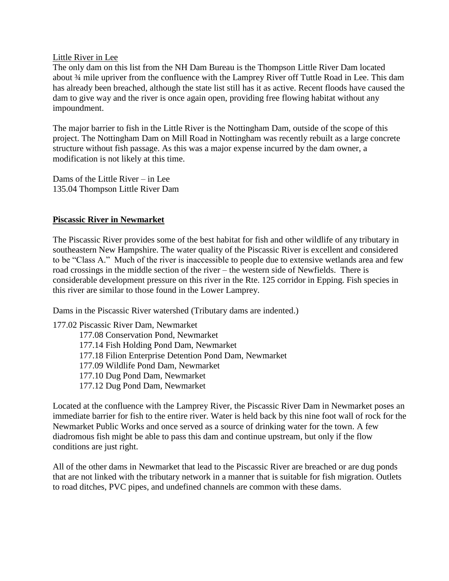#### Little River in Lee

The only dam on this list from the NH Dam Bureau is the Thompson Little River Dam located about ¾ mile upriver from the confluence with the Lamprey River off Tuttle Road in Lee. This dam has already been breached, although the state list still has it as active. Recent floods have caused the dam to give way and the river is once again open, providing free flowing habitat without any impoundment.

The major barrier to fish in the Little River is the Nottingham Dam, outside of the scope of this project. The Nottingham Dam on Mill Road in Nottingham was recently rebuilt as a large concrete structure without fish passage. As this was a major expense incurred by the dam owner, a modification is not likely at this time.

Dams of the Little River – in Lee 135.04 Thompson Little River Dam

#### **Piscassic River in Newmarket**

The Piscassic River provides some of the best habitat for fish and other wildlife of any tributary in southeastern New Hampshire. The water quality of the Piscassic River is excellent and considered to be "Class A." Much of the river is inaccessible to people due to extensive wetlands area and few road crossings in the middle section of the river – the western side of Newfields. There is considerable development pressure on this river in the Rte. 125 corridor in Epping. Fish species in this river are similar to those found in the Lower Lamprey.

Dams in the Piscassic River watershed (Tributary dams are indented.)

177.02 Piscassic River Dam, Newmarket 177.08 Conservation Pond, Newmarket 177.14 Fish Holding Pond Dam, Newmarket 177.18 Filion Enterprise Detention Pond Dam, Newmarket 177.09 Wildlife Pond Dam, Newmarket 177.10 Dug Pond Dam, Newmarket 177.12 Dug Pond Dam, Newmarket

Located at the confluence with the Lamprey River, the Piscassic River Dam in Newmarket poses an immediate barrier for fish to the entire river. Water is held back by this nine foot wall of rock for the Newmarket Public Works and once served as a source of drinking water for the town. A few diadromous fish might be able to pass this dam and continue upstream, but only if the flow conditions are just right.

All of the other dams in Newmarket that lead to the Piscassic River are breached or are dug ponds that are not linked with the tributary network in a manner that is suitable for fish migration. Outlets to road ditches, PVC pipes, and undefined channels are common with these dams.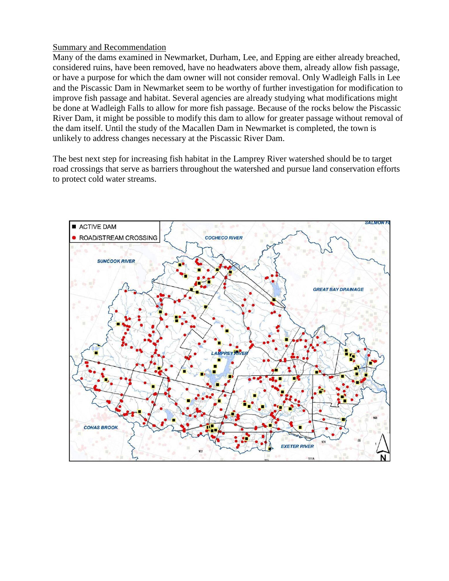#### Summary and Recommendation

Many of the dams examined in Newmarket, Durham, Lee, and Epping are either already breached, considered ruins, have been removed, have no headwaters above them, already allow fish passage, or have a purpose for which the dam owner will not consider removal. Only Wadleigh Falls in Lee and the Piscassic Dam in Newmarket seem to be worthy of further investigation for modification to improve fish passage and habitat. Several agencies are already studying what modifications might be done at Wadleigh Falls to allow for more fish passage. Because of the rocks below the Piscassic River Dam, it might be possible to modify this dam to allow for greater passage without removal of the dam itself. Until the study of the Macallen Dam in Newmarket is completed, the town is unlikely to address changes necessary at the Piscassic River Dam.

The best next step for increasing fish habitat in the Lamprey River watershed should be to target road crossings that serve as barriers throughout the watershed and pursue land conservation efforts to protect cold water streams.